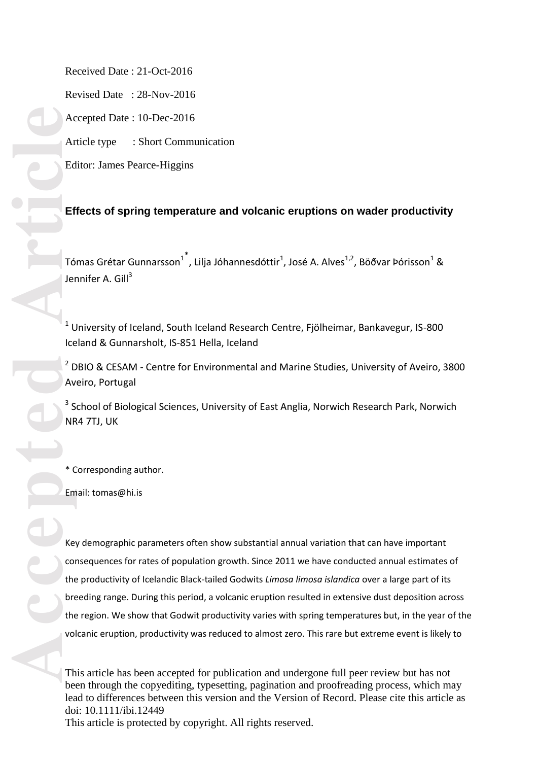Received Date : 21 -Oct -2016

Revised Date : 28 -Nov -2016

Accepted Date : 10 -Dec -2016

Article type : Short Communication

Editor: James Pearce -Higgins

# **Effects of spring temperature and volcanic eruptions on wader productivity**

Tómas Grétar Gunnarsson $^{1^*}$ , Lilja Jóhannesdóttir $^1$ , José A. Alves $^{1,2}$ , Böðvar Þórisson $^1$  & Jennifer A. Gill<sup>3</sup>

 $<sup>1</sup>$  University of Iceland, South Iceland Research Centre, Fjölheimar, Bankavegur, IS-800</sup> Iceland & Gunnarsholt, IS -851 Hella, Iceland

 $2$  DBIO & CESAM - Centre for Environmental and Marine Studies, University of Aveiro, 3800 Aveiro, Portugal

<sup>3</sup> School of Biological Sciences, University of East Anglia, Norwich Research Park, Norwich NR4 7TJ, UK

\* Corresponding author .

Email: tomas @hi.is

Key demographic parameters often show substantial annual variation that can have important consequences for rates of population growth. Since 2011 we have conducted annual estimates of the productivity of Icelandic Black -tailed Godwits *Limosa limosa islandica* over a large part of its breeding range. During this period, a volcanic eruption resulted in extensive dust deposition across the region. We show that Godwit productivity varies with spring temperatures but, in the year of the volcanic eruption, productivity was reduced to almost zero. This rare but extreme event is likely to

This article has been accepted for publication and undergone full peer review but has not been through the copyediting, typesetting, pagination and proofreading process, which may lead to differences between this version and the Version of Record. Please cite this article as doi: 10.1111/ibi.12449

This article is protected by copyright. All rights reserved.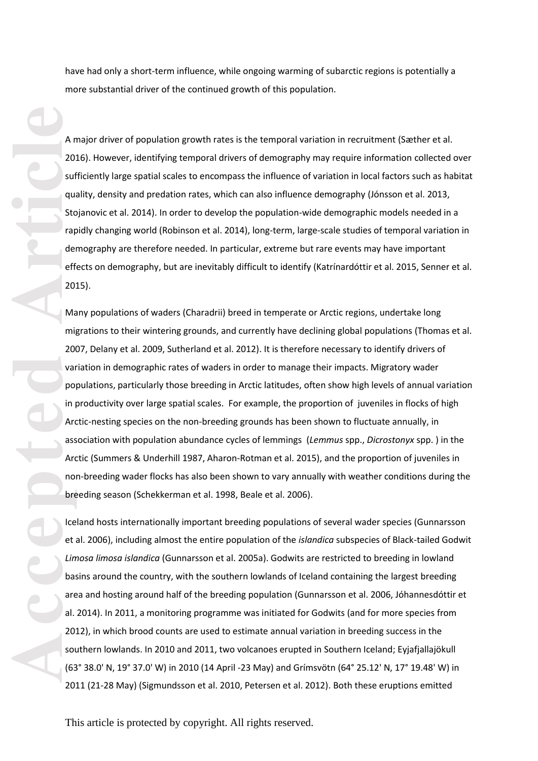have had only a short-term influence, while ongoing warming of subarctic regions is potentially a more substantial driver of the continued growth of this population.

A major driver of population growth rates is the temporal variation in recruitment (Sæther et al. 2016). However, identifying temporal drivers of demography may require information collected over sufficiently large spatial scales to encompass the influence of variation in local factors such as habitat quality, density and predation rates, which can also influence demography (Jónsson et al. 2013, Stojanovic et al. 2014). In order to develop the population -wide demographic models needed in a rapidly changing world (Robinson et al. 2014), long -term, large -scale studies of temporal variation in demography are therefore needed. In particular, extreme but rare events may have important effects on demography, but are inevitably difficult to identify (Katrínardóttir et al. 2015, Senner et al. 2015) .

Article<br>
Mac<br>
Strap<br>
Strap<br>
Strap<br>
eff<br>
200<br>
Mac<br>
eff<br>
200<br>
Mac<br>
eff<br>
200<br>
War<br>
mil<br>
200<br>
War<br>
mil<br>
200<br>
War<br>
mil<br>
200<br>
War<br>
po In Article<br>
Lin<br>
dors<br>
Lin<br>
dors<br>
Lin<br>
dors<br>
dors<br>
dors<br>
dors<br>
dors<br>
dors<br>
dors<br>
dors<br>
dors<br>
d Many populations of waders (Charadrii) breed in temperate or Arctic regions, undertake long migrations to their wintering grounds, and currently have declining global populations (Thomas et al. 2007, Delany et al. 2009, Sutherland et al. 2012). It is therefore necessary to identify drivers of variation in demographic rates of waders in order to manage their impacts. Migratory wader populations, particularly those breeding in Arctic latitudes, often show high levels of annual variation in productivity over large spatial scales. For example, the proportion of juveniles in flocks of high<br>Arctic-nesting species on the non-breeding grounds has been shown to fluctuate annually, in association with population abundance cycles of lemmings (*Lemmus* spp., *Dicrostonyx* spp. ) in the Arctic (Summers & Underhill 1987, Aharon-Rotman et al. 2015), and the proportion of juveniles in non -breeding wader flocks has also been shown to vary annually with weather conditions during the breeding season (Schekkerman et al. 1998, Beale et al. 2006).

Iceland hosts internationally important breeding populations of several wader species (Gunnarsson et al. 2006) , including almost the entire population of the *islandica* subspecies of Black -tailed Godwit *Limosa limosa islandica* (Gunnarsson et al. 2005 a ). Godwits are restricted to breeding in lowland basins around the country, with the southern lowlands of Iceland containing the largest breeding area and hosting around half of the breeding population (Gunnarsson et al. 2006, Jóhannesdóttir et al. 2014). In 2011, a monitoring programme was initiated for Godwits (and for more species from 2012), in which brood counts are used to estimate annual variation in breeding success in the southern lowlands. In 2010 and 2011, two volcanoes erupted in Southern Iceland; Eyjafjallaj ökull (63° 38.0' N , 19° 37.0' W) in 2010 (14 April -23 May) and Gr ímsv ötn (64° 25.12' N , 17° 19.48' W) in 2011 (21 -28 May) (Sigmundsson et al. 2010, Petersen et al. 2012). Both these eruptions emitted

This article is protected by copyright. All rights reserved.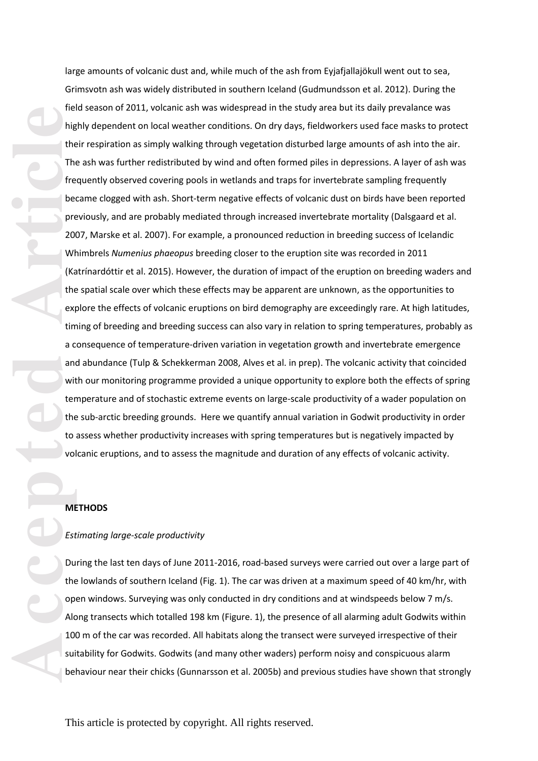The Magnetic The Better of Magnetic Press, and Magnetic Press, and Magnetic Press, and Magnetic Press, and Magnetic Press, and Magnetic Press, and Magnetic Press, and Magnetic Press, and Magnetic Press, and Magnetic Press, large amounts of volcanic dust and, while much of the ash from Eyjafjallajökull went out to sea, Grimsvotn ash was widely distributed in southern Iceland (Gudmundsson et al. 2012). During the field season of 2011, volcanic ash was widespread in the study area but its daily prevalance was highly dependent on local weather conditions. On dry days, fieldworkers used face masks to protect their respiration as simply walking through vegetation disturbed large amounts of ash into the air. The ash was further redistributed by wind and often formed piles in depressions. A layer of ash was frequently observed covering pools in wetlands and traps for invertebrate sampling frequently became clogged with ash. Short-term negative effects of volcanic dust on birds have been reported previously, and are probably mediated through increased invertebrate mortality (Dalsgaard et al. 2007, Marske et al. 2007). For example, a pronounced reduction in breeding success of Icelandic Whimbrels *Numenius phaeopus* breeding closer to the eruption site was recorded in 2011 (Katrínardóttir et al. 2015). However, the duration of impact of the eruption on breeding waders and the spatial scale over which these effects may be apparent are unknown , as the opportunities to explore the effects of volcanic eruptions on bird demography are exceedingly rare. At high latitudes, timing of breeding and breeding success can also vary in relation to spring temperatures, probably as a consequence of temperature-driven variation in vegetation growth and invertebrate emergence and abundance (Tulp & Schekkerman 2008, Alves et al. in prep). The volcanic activity that coincided with our monitoring programme provided a unique opportunity to explore both the effects of spring temperature and of stochastic extreme events on large -scale productivity of a wader population on the sub -arctic breeding grounds. Here we quantify annual variation in Godwit productivity in order to assess whether productivity increases with spring temperatures but is negatively impacted by volcanic eruptions, and to assess the magnitude and duration of any effects of volcanic activity.

# **METHODS**

#### *Estimating large -scale productivity*

During the last ten days of June 2011-2016, road-based surveys were carried out over a large part of the lowlands of southern Iceland (Fig. 1). The car was driven at a maximum speed of 40 km/hr, with open windows. Surveying was only conducted in dry conditions and at windspeeds below 7 m/s. Along transects which totalled 198 km (Figure. 1), the presence of all alarming adult Godwits within 100 m of the car was recorded. All habitats along the transect were surveyed irrespective of their suitability for Godwits. Godwits (and many other waders) perform noisy and conspicuous alarm behaviour near their chicks (Gunnarsson et al. 2005b) and previous studies have shown that strongly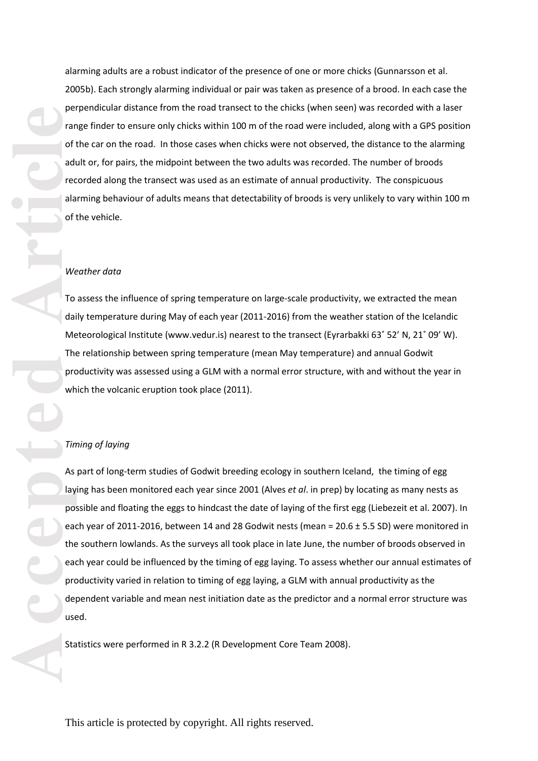alarming adults are a robust indicator of the presence of one or more chicks (Gunnarsson et al. 2005 b ). Each strongly alarming individual or pair was taken as presence of a brood. In each case the perpendicular distance from the road transect to the chicks (when seen) was recorded with a laser range finder to ensure only chicks within 100 m of the road were included , along with a GPS position of the car on the road. In those cases when chicks were not observed, the distance to the alarming adult or, for pairs, the midpoint between the two adults was recorded. The number of broods recorded along the transect was used as an estimate of annual productivity. The conspicuous alarming behaviour of adults means that detectability of broods is very unlikely to vary within 100 m of the vehicle.

### *Weather data*

To assess the influence of spring temperature on large -scale productivity, we extracted the mean daily temperature during May of each year (2011 -2016) from the weather station of the Icelandic Meteorological Institute (www.vedur.is) nearest to the transect (Eyrarbakki 63˚ 52' N, 21˚ 09' W). The relationship between spring temperature (mean May temperature) and annual Godwit productivity was assessed using a GLM with a normal error structure, with and without the year in which the volcanic eruption took place (2011).

### *Timing of laying*

As part of long-term studies of Godwit breeding ecology in southern Iceland, the timing of egg laying has been monitored each year since 2001 (Alves *et al*. in prep) by locating as many nests as possible and floating the eggs to hindcast the date of laying of the first egg (Liebezeit et al. 2007). In each year of 2011-2016, between 14 and 28 Godwit nests (mean = 20.6 ± 5.5 SD) were monitored in the southern lowlands. As the surveys all took place in late June, the number of broods observed in each year could be influenced by the timing of egg laying. To assess whether our annual estimates of productivity varied in relation to timing of egg laying, a GLM with annual productivity as the dependent variable and mean nest initiation date as the predictor and a normal error structure was used.

Statistics were performed in R 3.2.2 (R Development Core Team 2008) .

This article is protected by copyright. All rights reserved.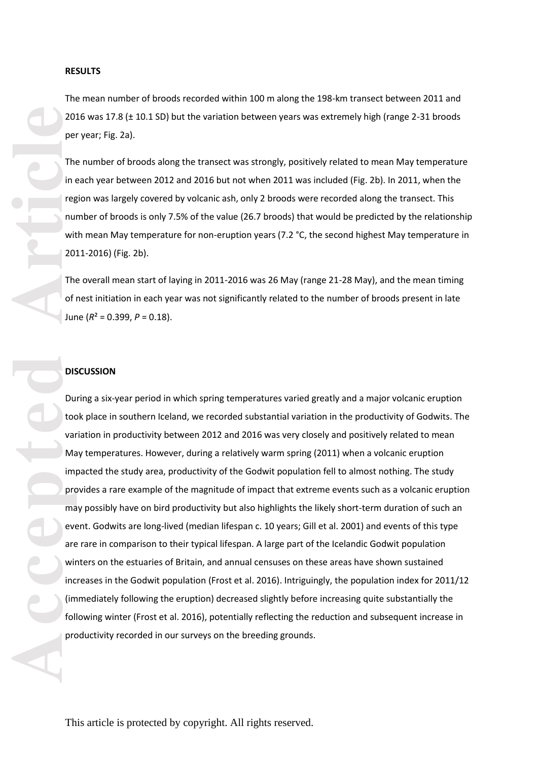#### **RESULTS**

The mean number of broods recorded within 100 m along the 198 -km transect between 2011 and 2016 was 17.8 (± 10.1 SD) but the variation between years was extremely high (range 2-31 broods per year; Fig . 2 a).

The number of broods along the transect was strongly, positively related to mean May temperature in each year between 2012 and 2016 but not when 2011 was included (Fig . 2b). In 2011, when the region was largely covered by volcanic ash, only 2 broods were recorded along the transect. This number of broods is only 7.5% of the value (26.7 broods) that would be predicted by the relationship with mean May temperature for non-eruption years (7.2 °C, the second highest May temperature in 2011 -2016) (Fig . 2 b).

The overall mean start of laying in 2011-2016 was 26 May (range 21-28 May), and the mean timing of nest initiation in each year was not significantly related to the number of broods present in late June ( *R*² = 0.399, *P* = 0.18).

## **DISCUSSION**

During a six -year period in which spring temperatures varied greatly and a major volcanic eruption took place in southern Iceland, we recorded substantial variation in the productivity of Godwits. The variation in productivity between 2012 and 2016 was very closely and positively related to mean May temperatures. However, during a relatively warm spring (2011) when a volcanic eruption impacted the study area, productivity of the Godwit population fell to almost nothing. The study provides a rare example of the magnitude of impact that extreme events such as a volcanic eruption may possibly have on bird productivity but also highlights the likely short -term duration of such an event. Godwits are long-lived (median lifespan c. 10 years; Gill et al. 2001) and events of this type are rare in comparison to their typical lifespan. A large part of the Icelandic Godwit population winters on the estuaries of Britain, and annual censuses on these areas have shown sustained increases in the Godwit population (Frost et al. 2016). Intriguingly, the population index for 2011/12 (immediately following the eruption) decreased slightly before increasing quite substantially the following winter (Frost et al. 2016), potentially reflecting the reduction and subsequent increase in productivity recorded in our surveys on the breeding grounds.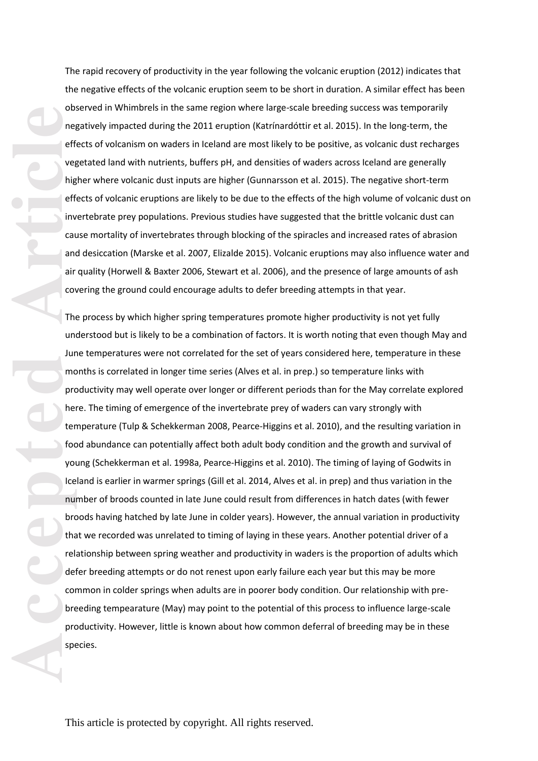The rapid recovery of productivity in the year following the volcanic eruption (2012) indicates that the negative effects of the volcanic eruption seem to be short in duration. A similar effect has been observed in Whimbrels in the same region where large -scale breeding success was temporarily negatively impacted during the 2011 eruption (Katrínardóttir et al. 2015). In the long -term, the effects of volcanism on waders in Iceland are most likely to be positive , as volcanic dust recharges vegetated land with nutrients, buffers pH , and densities of waders across Iceland are generally higher where volcanic dust inputs are higher (Gunnarsson et al. 2015). The negative short -term effects of volcanic eruptions are likely to be due to the effects of the high volume of volcanic dust on invertebrate prey populations. Previous studies have suggested that the brittle volcanic dust can cause mortality of invertebrates through blocking of the spiracles and increased rates of abrasion and desiccation (Marske et al. 2007, Elizalde 2015). Volcanic eruptions may also influence water and air quality (Horwell & Baxter 2006, Stewart et al. 2006), and the presence of large amounts of ash covering the ground could encourage adults to defer breeding attempts in that year.

accepted **Article**<br>
Article<br>
Article<br>
Article<br>
Article<br>
Article<br>
Article<br>
Article<br>
Article<br>
Article<br>
Article<br>
Article<br>
Article<br>
Article<br>
Article<br>
Article<br>
Article<br>
Article<br>
Article<br>
Article<br>
Article<br>
Article<br>
Article<br>
Arti The process by which higher spring temperatures promote higher productivity is not yet fully understood but is likely to be a combination of factors. It is worth noting that even though May and June temperatures were not correlated for the set of years considered here, temperature in these months is correlated in longer time series (Alves et al. in prep.) so temperature links with productivity may well operate over longer or different periods than for the May correlate explored here. The timing of emergence of the invertebrate prey of waders can vary strongly with temperature (Tulp & Schekkerman 2008, Pearce-Higgins et al. 2010), and the resulting variation in food abundance can potentially affect both adult body condition and the growth and survival of young (Schekkerman et al. 1998a, Pearce‐Higgins et al. 2010). The timing of laying of Godwits in Iceland is earlier in warmer springs (Gill et al. 2014, Alves et al. in prep) and thus variation in the number of broods counted in late June could result from differences in hatch dates (with fewer broods having hatched by late June in colder years). However, the annual variation in productivity that we recorded was unrelated to timing of laying in these years. Another potential driver of a relationship between spring weather and productivity in waders is the proportion of adults which defer breeding attempts or do not renest upon early failure each year but this may be more common in colder springs when adults are in poorer body condition. Our relationship with pre breeding tempearature (May) may point to the potential of this process to influence large -scale productivity. However, little is known about how common deferral of breeding may be in these species.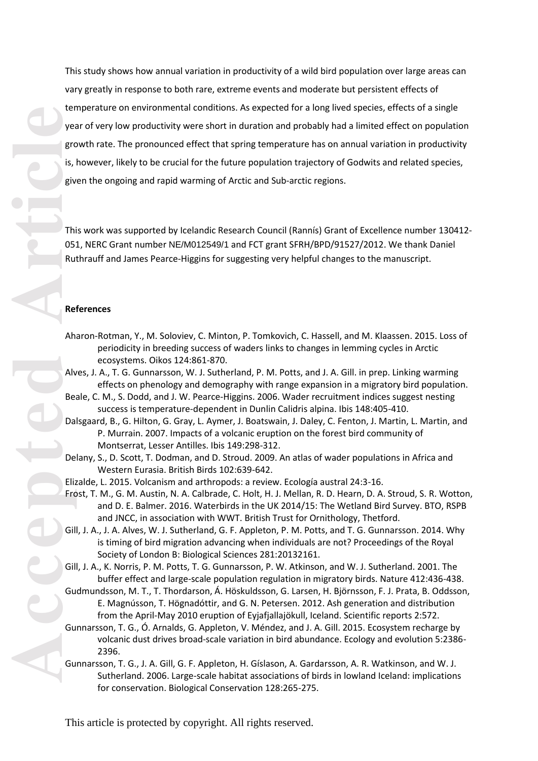This study shows how annual variation in productivity of a wild bird population over large areas can vary greatly in response to both rare, extreme events and moderate but persistent effects of temperature on environmental conditions. As expected for a long lived species, effects of a single year of very low productivity were short in duration and probably had a limited effect on population growth rate. The pronounced effect that spring temperature has on annual variation in productivity is, however, likely to be crucial for the future population trajectory of Godwits and related species, given the ongoing and rapid warming of Arctic and Sub -arctic regions.

This work was supported by Icelandic Research Council (Rannís) Grant of Excellence number 130412 - 051, NERC Grant number NE/M012549/1 and FCT grant SFRH/BPD/91527/2012. We thank Daniel Ruthrauff and James Pearce -Higgins for suggesting very helpful changes to the manuscript.

## **References**

- Aharon -Rotman, Y., M. Soloviev, C. Minton, P. Tomkovich, C. Hassell, and M. Klaassen. 2015. Loss of periodicity in breeding success of waders links to changes in lemming cycles in Arctic ecosystems. Oikos 124:861 -870.
- Alves, J. A., T. G. Gunnarsson, W. J. Sutherland, P. M. Potts, and J. A. Gill. in prep. Linking warming effects on phenology and demography with range expansion in a migratory bird population.
- Beale, C. M., S. Dodd, and J. W. Pearce‐Higgins. 2006. Wader recruitment indices suggest nesting success is temperature‐dependent in Dunlin Calidris alpina. Ibis 148:405 -410.
- Dalsgaard, B., G. Hilton, G. Gray, L. Aymer, J. Boatswain, J. Daley, C. Fenton, J. Martin, L. Martin, and P. Murrain. 2007. Impacts of a volcanic eruption on the forest bird community of Montserrat, Lesser Antilles. Ibis 149:298 -312.
- Delany, S., D. Scott, T. Dodman, and D. Stroud. 2009. An atlas of wader populations in Africa and Western Eurasia. British Birds 102:639 -642.
- Elizalde, L. 2015. Volcanism and arthropods: a review. Ecología austral 24:3 -16.
- Frost, T. M., G. M. Austin, N. A. Calbrade, C. Holt, H. J. Mellan, R. D. Hearn, D. A. Stroud, S. R. Wotton, and D. E. Balmer. 2016. Waterbirds in the UK 2014/15: The Wetland Bird Survey. BTO, RSPB and JNCC, in association with WWT. British Trust for Ornithology, Thetford.
- Gill, J. A., J. A. Alves, W. J. Sutherland, G. F. Appleton, P. M. Potts, and T. G. Gunnarsson. 2014. Why is timing of bird migration advancing when individuals are not? Proceedings of the Royal Society of London B: Biological Sciences 281:20132161.
- Gill, J. A., K. Norris, P. M. Potts, T. G. Gunnarsson, P. W. Atkinson, and W. J. Sutherland. 2001. The buffer effect and large-scale population regulation in migratory birds. Nature 412:436-438.
- Gudmundsson, M. T., T. Thordarson, Á. Höskuldsson, G. Larsen, H. Björnsson, F. J. Prata, B. Oddsson, E. Magnússon, T. Högnadóttir, and G. N. Petersen. 2012. Ash generation and distribution from the April -May 2010 eruption of Eyjafjallajökull, Iceland. Scientific reports 2:572.
- Gunnarsson, T. G., Ó. Arnalds, G. Appleton, V. Méndez, and J. A. Gill. 2015. Ecosystem recharge by volcanic dust drives broad‐scale variation in bird abundance. Ecology and evolution 5:2386 - 2396.
- Gunnarsson, T. G., J. A. Gill, G. F. Appleton, H. Gíslason, A. Gardarsson, A. R. Watkinson, and W. J. Sutherland. 2006. Large-scale habitat associations of birds in lowland Iceland: implications for conservation. Biological Conservation 128:265 -275.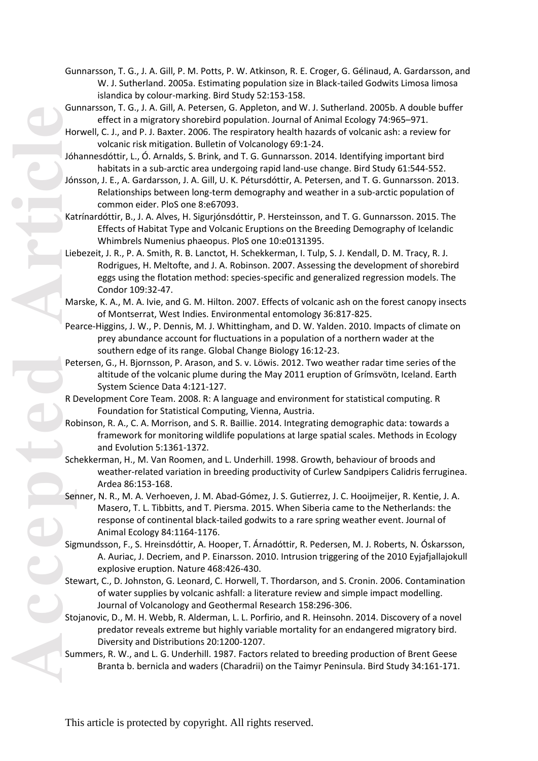- Gunnarsson, T. G., J. A. Gill, P. M. Potts, P. W. Atkinson, R. E. Croger, G. Gélinaud, A. Gardarsson, and W. J. Sutherland. 2005 a. Estimating population size in Black -tailed Godwits Limosa limosa islandica by colour -marking. Bird Study 52:153 -158.
- Gunnarsson, T. G., J. A. Gill, A. Petersen, G. Appleton, and W. J. Sutherland. 2005 b. A double buffer effect in a migratory shorebird population. Journal of Animal Ecology 74:965 –971.
- Horwell, C. J., and P. J. Baxter. 2006. The respiratory health hazards of volcanic ash: a review for volcanic risk mitigation. Bulletin of Volcanology 69:1 -24.
- Jóhannesdóttir, L., Ó. Arnalds, S. Brink, and T. G. Gunnarsson. 2014. Identifying important bird habitats in a sub-arctic area undergoing rapid land-use change. Bird Study 61:544-552.
- Jónsson, J. E., A. Gardarsson, J. A. Gill, U. K. Pétursdóttir, A. Petersen, and T. G. Gunnarsson. 2013. Relationships between long-term demography and weather in a sub-arctic population of common eider. PloS one 8:e67093.
- Katrínardóttir, B., J. A. Alves, H. Sigurjónsdóttir, P. Hersteinsson, and T. G. Gunnarsson. 2015. The Effects of Habitat Type and Volcanic Eruptions on the Breeding Demography of Icelandic Whimbrels Numenius phaeopus. PloS one 10:e0131395.
- Liebezeit, J. R., P. A. Smith, R. B. Lanctot, H. Schekkerman, I. Tulp, S. J. Kendall, D. M. Tracy, R. J. Rodrigues, H. Meltofte, and J. A. Robinson. 2007. Assessing the development of shorebird eggs using the flotation method: species-specific and generalized regression models. The Condor 109:32 -47.
- Marske, K. A., M. A. Ivie, and G. M. Hilton. 2007. Effects of volcanic ash on the forest canopy insects of Montserrat, West Indies. Environmental entomology 36:817 -825.
- Pearce-Higgins, J. W., P. Dennis, M. J. Whittingham, and D. W. Yalden. 2010. Impacts of climate on prey abundance account for fluctuations in a population of a northern wader at the southern edge of its range. Global Change Biology 16:12 -23.
- Petersen, G., H. Bjornsson, P. Arason, and S. v. Löwis. 2012. Two weather radar time series of the altitude of the volcanic plume during the May 2011 eruption of Grímsvötn, Iceland. Earth System Science Data 4:121 -127.
- R Development Core Team. 2008. R: A language and environment for statistical computing. R Foundation for Statistical Computing, Vienna, Austria.
- Robinson, R. A., C. A. Morrison, and S. R. Baillie. 2014. Integrating demographic data: towards a framework for monitoring wildlife populations at large spatial scales. Methods in Ecology and Evolution 5:1361 -1372.
- Schekkerman, H., M. Van Roomen, and L. Underhill. 1998. Growth, behaviour of broods and weather -related variation in breeding productivity of Curlew Sandpipers Calidris ferruginea. Ardea 86:153 -168.
- Senner, N. R., M. A. Verhoeven, J. M. Abad‐Gómez, J. S. Gutierrez, J. C. Hooijmeijer, R. Kentie, J. A. Masero, T. L. Tibbitts, and T. Piersma. 2015. When Siberia came to the Netherlands: the response of continental black‐tailed godwits to a rare spring weather event. Journal of Animal Ecology 84:1164 -1176.
- Sigmundsson, F., S. Hreinsdóttir, A. Hooper, T. Árnadóttir, R. Pedersen, M. J. Roberts, N. Óskarsson, A. Auriac, J. Decriem, and P. Einarsson. 2010. Intrusion triggering of the 2010 Eyjafjallajokull explosive eruption. Nature 468:426 -430.
- Stewart, C., D. Johnston, G. Leonard, C. Horwell, T. Thordarson, and S. Cronin. 2006. Contamination of water supplies by volcanic ashfall: a literature review and simple impact modelling. Journal of Volcanology and Geothermal Research 158:296 -306.
- Stojanovic, D., M. H. Webb, R. Alderman, L. L. Porfirio, and R. Heinsohn. 2014. Discovery of a novel predator reveals extreme but highly variable mortality for an endangered migratory bird. Diversity and Distributions 20:1200 -1207.
- Summers, R. W., and L. G. Underhill. 1987. Factors related to breeding production of Brent Geese Branta b. bernicla and waders (Charadrii) on the Taimyr Peninsula. Bird Study 34:16 1 -171.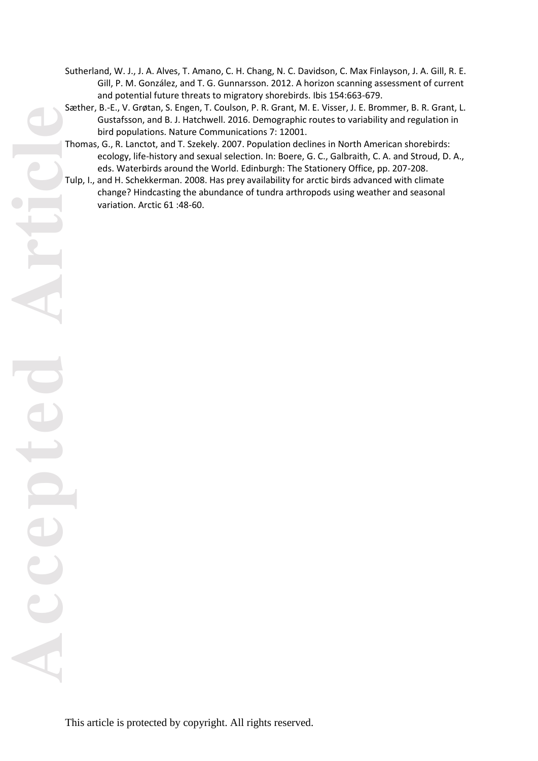- Sutherland, W. J., J. A. Alves, T. Amano, C. H. Chang, N. C. Davidson, C. Max Finlayson, J. A. Gill, R. E. Gill, P. M. González, and T. G. Gunnarsson. 2012. A horizon scanning assessment of current and potential future threats to migratory shorebirds. Ibis 154:663 -679.
- Sæther, B. -E., V. Grøtan, S. Engen, T. Coulson, P. R. Grant, M. E. Visser, J. E. Brommer, B. R. Grant, L. Gustafsson, and B. J. Hatchwell. 2016. Demographic routes to variability and regulation in bird populations. Nature Communications 7: 12001.
- Thomas, G., R. Lanctot, and T. Szekely. 2007. Population declines in North American shorebirds: ecology, life -history and sexual selection. In: Boere, G. C., Galbraith, C. A. and Stroud, D. A., eds. Waterbirds around the World. Edinburgh: The Stationery Office, pp. 207 -208.
- Tulp, I., and H. Schekkerman. 2008. Has prey availability for arctic birds advanced with climate change? Hindcasting the abundance of tundra arthropods using weather and seasonal variation. Arctic 61 :48 -60.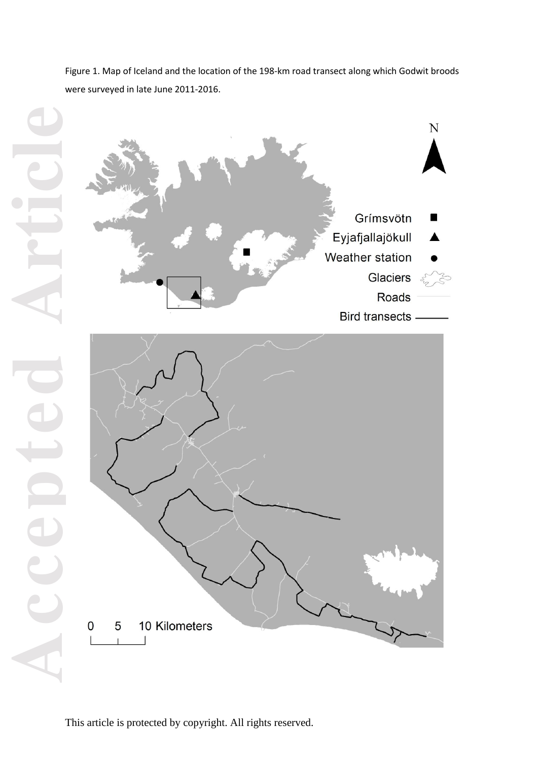Figure 1. Map of Iceland and the location of the 198-km road transect along which Godwit broods were surveyed in late June 2011 -2016.